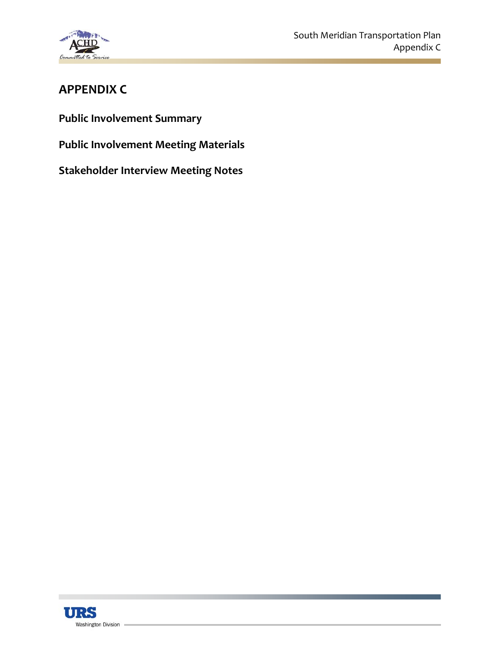

# **APPENDIX C**

**Public Involvement Summary**

**Public Involvement Meeting Materials**

**Stakeholder Interview Meeting Notes**

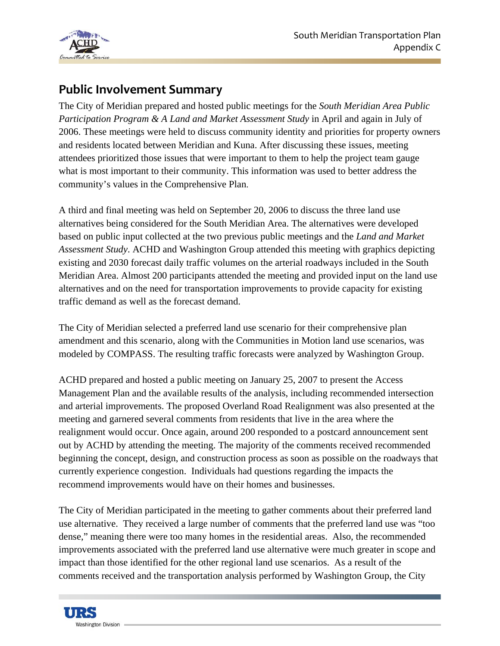

# **Public Involvement Summary**

The City of Meridian prepared and hosted public meetings for the *South Meridian Area Public Participation Program & A Land and Market Assessment Study* in April and again in July of 2006. These meetings were held to discuss community identity and priorities for property owners and residents located between Meridian and Kuna. After discussing these issues, meeting attendees prioritized those issues that were important to them to help the project team gauge what is most important to their community. This information was used to better address the community's values in the Comprehensive Plan.

A third and final meeting was held on September 20, 2006 to discuss the three land use alternatives being considered for the South Meridian Area. The alternatives were developed based on public input collected at the two previous public meetings and the *Land and Market Assessment Study*. ACHD and Washington Group attended this meeting with graphics depicting existing and 2030 forecast daily traffic volumes on the arterial roadways included in the South Meridian Area. Almost 200 participants attended the meeting and provided input on the land use alternatives and on the need for transportation improvements to provide capacity for existing traffic demand as well as the forecast demand.

The City of Meridian selected a preferred land use scenario for their comprehensive plan amendment and this scenario, along with the Communities in Motion land use scenarios, was modeled by COMPASS. The resulting traffic forecasts were analyzed by Washington Group.

ACHD prepared and hosted a public meeting on January 25, 2007 to present the Access Management Plan and the available results of the analysis, including recommended intersection and arterial improvements. The proposed Overland Road Realignment was also presented at the meeting and garnered several comments from residents that live in the area where the realignment would occur. Once again, around 200 responded to a postcard announcement sent out by ACHD by attending the meeting. The majority of the comments received recommended beginning the concept, design, and construction process as soon as possible on the roadways that currently experience congestion. Individuals had questions regarding the impacts the recommend improvements would have on their homes and businesses.

The City of Meridian participated in the meeting to gather comments about their preferred land use alternative. They received a large number of comments that the preferred land use was "too dense," meaning there were too many homes in the residential areas. Also, the recommended improvements associated with the preferred land use alternative were much greater in scope and impact than those identified for the other regional land use scenarios. As a result of the comments received and the transportation analysis performed by Washington Group, the City

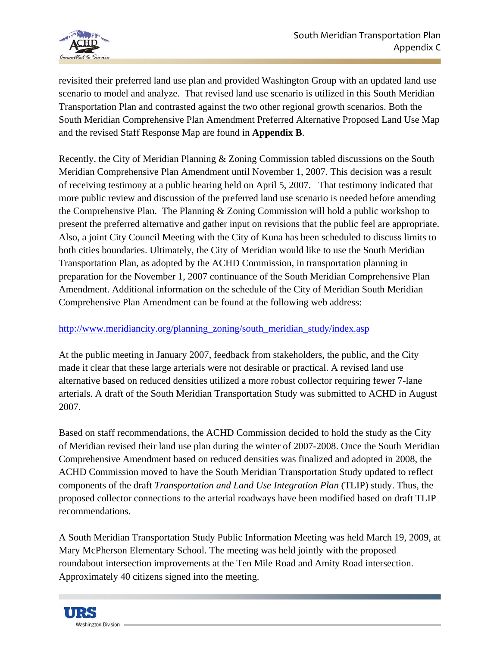

revisited their preferred land use plan and provided Washington Group with an updated land use scenario to model and analyze. That revised land use scenario is utilized in this South Meridian Transportation Plan and contrasted against the two other regional growth scenarios. Both the South Meridian Comprehensive Plan Amendment Preferred Alternative Proposed Land Use Map and the revised Staff Response Map are found in **Appendix B**.

Recently, the City of Meridian Planning & Zoning Commission tabled discussions on the South Meridian Comprehensive Plan Amendment until November 1, 2007. This decision was a result of receiving testimony at a public hearing held on April 5, 2007. That testimony indicated that more public review and discussion of the preferred land use scenario is needed before amending the Comprehensive Plan. The Planning & Zoning Commission will hold a public workshop to present the preferred alternative and gather input on revisions that the public feel are appropriate. Also, a joint City Council Meeting with the City of Kuna has been scheduled to discuss limits to both cities boundaries. Ultimately, the City of Meridian would like to use the South Meridian Transportation Plan, as adopted by the ACHD Commission, in transportation planning in preparation for the November 1, 2007 continuance of the South Meridian Comprehensive Plan Amendment. Additional information on the schedule of the City of Meridian South Meridian Comprehensive Plan Amendment can be found at the following web address:

## [http://www.meridiancity.org/planning\\_zoning/south\\_meridian\\_study/index.asp](http://www.meridiancity.org/planning_zoning/south_meridian_study/index.asp)

At the public meeting in January 2007, feedback from stakeholders, the public, and the City made it clear that these large arterials were not desirable or practical. A revised land use alternative based on reduced densities utilized a more robust collector requiring fewer 7-lane arterials. A draft of the South Meridian Transportation Study was submitted to ACHD in August 2007.

Based on staff recommendations, the ACHD Commission decided to hold the study as the City of Meridian revised their land use plan during the winter of 2007-2008. Once the South Meridian Comprehensive Amendment based on reduced densities was finalized and adopted in 2008, the ACHD Commission moved to have the South Meridian Transportation Study updated to reflect components of the draft *Transportation and Land Use Integration Plan* (TLIP) study. Thus, the proposed collector connections to the arterial roadways have been modified based on draft TLIP recommendations.

A South Meridian Transportation Study Public Information Meeting was held March 19, 2009, at Mary McPherson Elementary School. The meeting was held jointly with the proposed roundabout intersection improvements at the Ten Mile Road and Amity Road intersection. Approximately 40 citizens signed into the meeting.

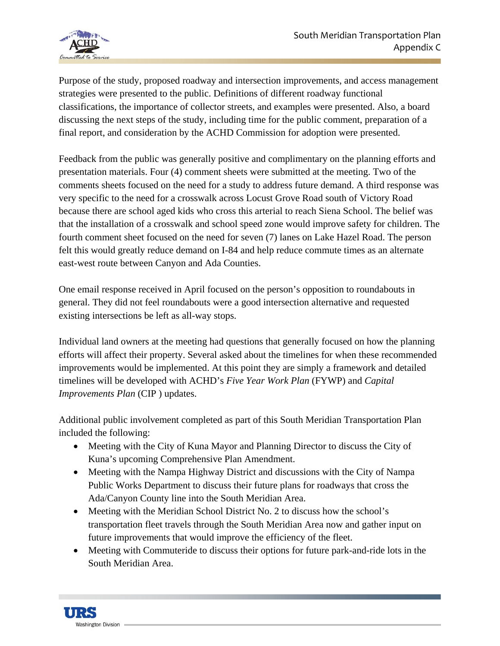

Purpose of the study, proposed roadway and intersection improvements, and access management strategies were presented to the public. Definitions of different roadway functional classifications, the importance of collector streets, and examples were presented. Also, a board discussing the next steps of the study, including time for the public comment, preparation of a final report, and consideration by the ACHD Commission for adoption were presented.

Feedback from the public was generally positive and complimentary on the planning efforts and presentation materials. Four (4) comment sheets were submitted at the meeting. Two of the comments sheets focused on the need for a study to address future demand. A third response was very specific to the need for a crosswalk across Locust Grove Road south of Victory Road because there are school aged kids who cross this arterial to reach Siena School. The belief was that the installation of a crosswalk and school speed zone would improve safety for children. The fourth comment sheet focused on the need for seven (7) lanes on Lake Hazel Road. The person felt this would greatly reduce demand on I-84 and help reduce commute times as an alternate east-west route between Canyon and Ada Counties.

One email response received in April focused on the person's opposition to roundabouts in general. They did not feel roundabouts were a good intersection alternative and requested existing intersections be left as all-way stops.

Individual land owners at the meeting had questions that generally focused on how the planning efforts will affect their property. Several asked about the timelines for when these recommended improvements would be implemented. At this point they are simply a framework and detailed timelines will be developed with ACHD's *Five Year Work Plan* (FYWP) and *Capital Improvements Plan* (CIP ) updates.

Additional public involvement completed as part of this South Meridian Transportation Plan included the following:

- Meeting with the City of Kuna Mayor and Planning Director to discuss the City of Kuna's upcoming Comprehensive Plan Amendment.
- Meeting with the Nampa Highway District and discussions with the City of Nampa Public Works Department to discuss their future plans for roadways that cross the Ada/Canyon County line into the South Meridian Area.
- Meeting with the Meridian School District No. 2 to discuss how the school's transportation fleet travels through the South Meridian Area now and gather input on future improvements that would improve the efficiency of the fleet.
- Meeting with Commuteride to discuss their options for future park-and-ride lots in the South Meridian Area.

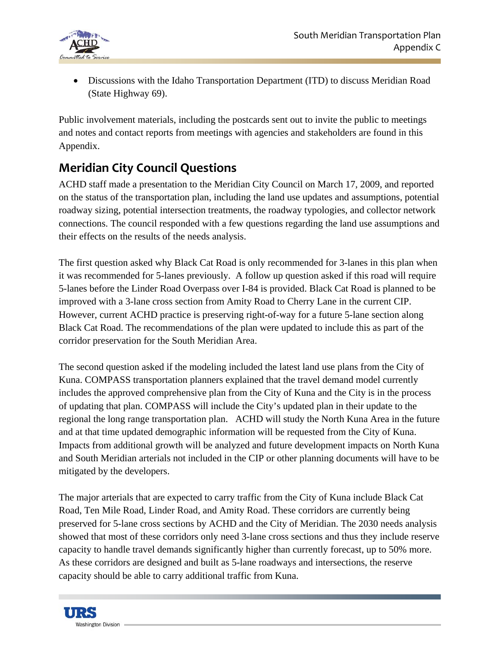

• Discussions with the Idaho Transportation Department (ITD) to discuss Meridian Road (State Highway 69).

Public involvement materials, including the postcards sent out to invite the public to meetings and notes and contact reports from meetings with agencies and stakeholders are found in this Appendix.

# **Meridian City Council Questions**

ACHD staff made a presentation to the Meridian City Council on March 17, 2009, and reported on the status of the transportation plan, including the land use updates and assumptions, potential roadway sizing, potential intersection treatments, the roadway typologies, and collector network connections. The council responded with a few questions regarding the land use assumptions and their effects on the results of the needs analysis.

The first question asked why Black Cat Road is only recommended for 3-lanes in this plan when it was recommended for 5-lanes previously. A follow up question asked if this road will require 5-lanes before the Linder Road Overpass over I-84 is provided. Black Cat Road is planned to be improved with a 3-lane cross section from Amity Road to Cherry Lane in the current CIP. However, current ACHD practice is preserving right-of-way for a future 5-lane section along Black Cat Road. The recommendations of the plan were updated to include this as part of the corridor preservation for the South Meridian Area.

The second question asked if the modeling included the latest land use plans from the City of Kuna. COMPASS transportation planners explained that the travel demand model currently includes the approved comprehensive plan from the City of Kuna and the City is in the process of updating that plan. COMPASS will include the City's updated plan in their update to the regional the long range transportation plan. ACHD will study the North Kuna Area in the future and at that time updated demographic information will be requested from the City of Kuna. Impacts from additional growth will be analyzed and future development impacts on North Kuna and South Meridian arterials not included in the CIP or other planning documents will have to be mitigated by the developers.

The major arterials that are expected to carry traffic from the City of Kuna include Black Cat Road, Ten Mile Road, Linder Road, and Amity Road. These corridors are currently being preserved for 5-lane cross sections by ACHD and the City of Meridian. The 2030 needs analysis showed that most of these corridors only need 3-lane cross sections and thus they include reserve capacity to handle travel demands significantly higher than currently forecast, up to 50% more. As these corridors are designed and built as 5-lane roadways and intersections, the reserve capacity should be able to carry additional traffic from Kuna.

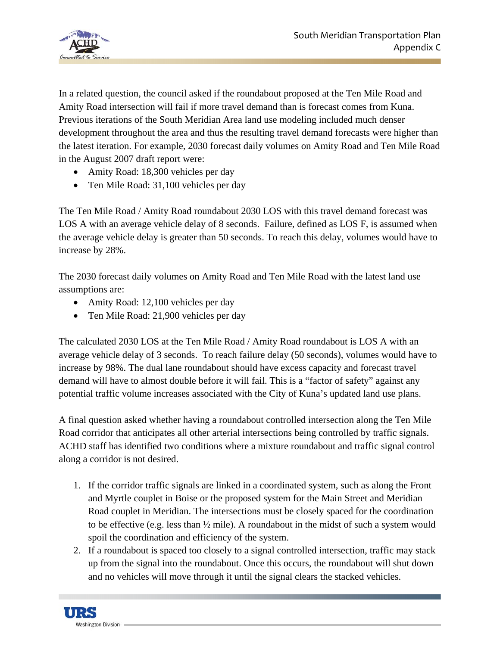

In a related question, the council asked if the roundabout proposed at the Ten Mile Road and Amity Road intersection will fail if more travel demand than is forecast comes from Kuna. Previous iterations of the South Meridian Area land use modeling included much denser development throughout the area and thus the resulting travel demand forecasts were higher than the latest iteration. For example, 2030 forecast daily volumes on Amity Road and Ten Mile Road in the August 2007 draft report were:

- Amity Road: 18,300 vehicles per day
- Ten Mile Road: 31,100 vehicles per day

The Ten Mile Road / Amity Road roundabout 2030 LOS with this travel demand forecast was LOS A with an average vehicle delay of 8 seconds. Failure, defined as LOS F, is assumed when the average vehicle delay is greater than 50 seconds. To reach this delay, volumes would have to increase by 28%.

The 2030 forecast daily volumes on Amity Road and Ten Mile Road with the latest land use assumptions are:

- Amity Road: 12,100 vehicles per day
- Ten Mile Road: 21,900 vehicles per day

The calculated 2030 LOS at the Ten Mile Road / Amity Road roundabout is LOS A with an average vehicle delay of 3 seconds. To reach failure delay (50 seconds), volumes would have to increase by 98%. The dual lane roundabout should have excess capacity and forecast travel demand will have to almost double before it will fail. This is a "factor of safety" against any potential traffic volume increases associated with the City of Kuna's updated land use plans.

A final question asked whether having a roundabout controlled intersection along the Ten Mile Road corridor that anticipates all other arterial intersections being controlled by traffic signals. ACHD staff has identified two conditions where a mixture roundabout and traffic signal control along a corridor is not desired.

- 1. If the corridor traffic signals are linked in a coordinated system, such as along the Front and Myrtle couplet in Boise or the proposed system for the Main Street and Meridian Road couplet in Meridian. The intersections must be closely spaced for the coordination to be effective (e.g. less than ½ mile). A roundabout in the midst of such a system would spoil the coordination and efficiency of the system.
- 2. If a roundabout is spaced too closely to a signal controlled intersection, traffic may stack up from the signal into the roundabout. Once this occurs, the roundabout will shut down and no vehicles will move through it until the signal clears the stacked vehicles.

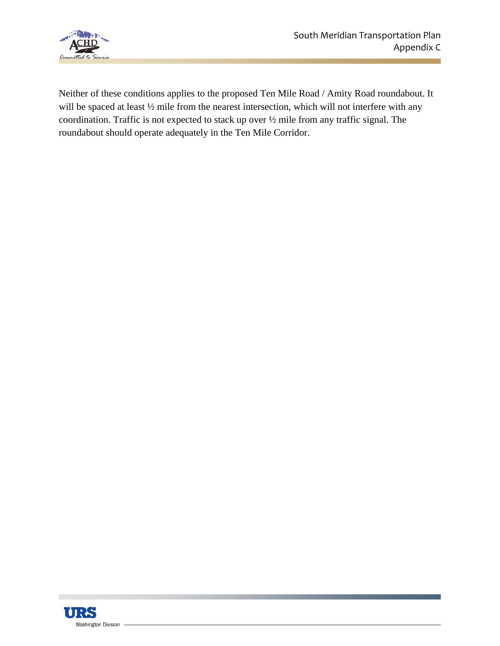

Neither of these conditions applies to the proposed Ten Mile Road / Amity Road roundabout. It will be spaced at least  $\frac{1}{2}$  mile from the nearest intersection, which will not interfere with any coordination. Traffic is not expected to stack up over ½ mile from any traffic signal. The roundabout should operate adequately in the Ten Mile Corridor.

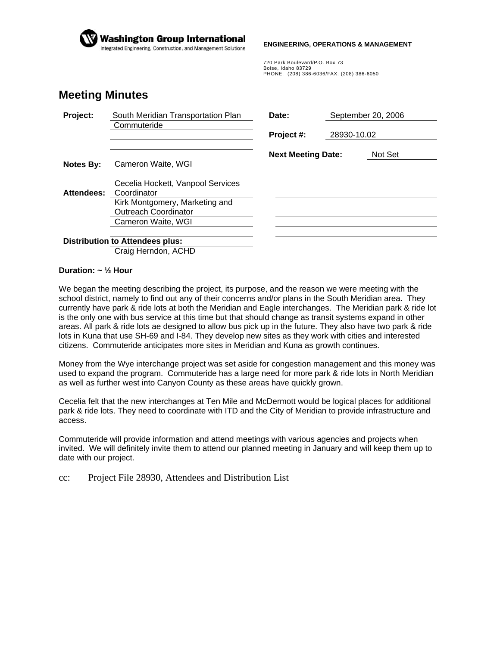

#### **ENGINEERING, OPERATIONS & MANAGEMENT**

720 Park Boulevard/P.O. Box 73 Boise, Idaho 83729 PHONE: (208) 386-6036/FAX: (208) 386-6050

## **Meeting Minutes**

| Project:                                                      | South Meridian Transportation Plan<br>Commuteride             | Date:                     |             | September 20, 2006 |  |
|---------------------------------------------------------------|---------------------------------------------------------------|---------------------------|-------------|--------------------|--|
|                                                               |                                                               | Project #:                | 28930-10.02 |                    |  |
|                                                               |                                                               | <b>Next Meeting Date:</b> |             | Not Set            |  |
| <b>Notes By:</b>                                              | Cameron Waite, WGI                                            |                           |             |                    |  |
| <b>Attendees:</b>                                             | Cecelia Hockett, Vanpool Services<br>Coordinator              |                           |             |                    |  |
|                                                               | Kirk Montgomery, Marketing and<br><b>Outreach Coordinator</b> |                           |             |                    |  |
|                                                               | Cameron Waite, WGI                                            |                           |             |                    |  |
| <b>Distribution to Attendees plus:</b><br>Craig Herndon, ACHD |                                                               |                           |             |                    |  |
|                                                               |                                                               |                           |             |                    |  |

## **Duration: ~ ½ Hour**

We began the meeting describing the project, its purpose, and the reason we were meeting with the school district, namely to find out any of their concerns and/or plans in the South Meridian area. They currently have park & ride lots at both the Meridian and Eagle interchanges. The Meridian park & ride lot is the only one with bus service at this time but that should change as transit systems expand in other areas. All park & ride lots ae designed to allow bus pick up in the future. They also have two park & ride lots in Kuna that use SH-69 and I-84. They develop new sites as they work with cities and interested citizens. Commuteride anticipates more sites in Meridian and Kuna as growth continues.

Money from the Wye interchange project was set aside for congestion management and this money was used to expand the program. Commuteride has a large need for more park & ride lots in North Meridian as well as further west into Canyon County as these areas have quickly grown.

Cecelia felt that the new interchanges at Ten Mile and McDermott would be logical places for additional park & ride lots. They need to coordinate with ITD and the City of Meridian to provide infrastructure and access.

Commuteride will provide information and attend meetings with various agencies and projects when invited. We will definitely invite them to attend our planned meeting in January and will keep them up to date with our project.

cc: Project File 28930, Attendees and Distribution List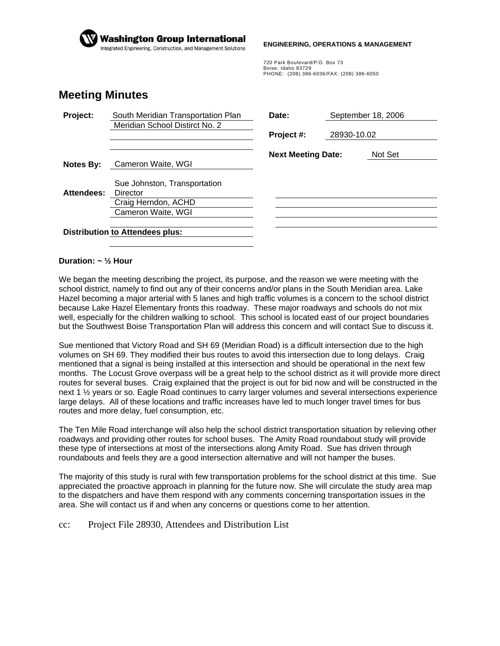

#### **ENGINEERING, OPERATIONS & MANAGEMENT**

720 Park Boulevard/P.O. Box 73 Boise, Idaho 83729 PHONE: (208) 386-6036/FAX: (208) 386-6050

## **Meeting Minutes**

| Project:   | South Meridian Transportation Plan<br>Meridian School Distirct No. 2 | Date:                     | September 18, 2006<br>28930-10.02 |         |
|------------|----------------------------------------------------------------------|---------------------------|-----------------------------------|---------|
|            |                                                                      | Project #:                |                                   |         |
|            |                                                                      | <b>Next Meeting Date:</b> |                                   | Not Set |
| Notes By:  | Cameron Waite, WGI                                                   |                           |                                   |         |
| Attendees: | Sue Johnston, Transportation<br>Director                             |                           |                                   |         |
|            | Craig Herndon, ACHD                                                  |                           |                                   |         |
|            | Cameron Waite, WGI                                                   |                           |                                   |         |
|            |                                                                      |                           |                                   |         |
|            | <b>Distribution to Attendees plus:</b>                               |                           |                                   |         |

### **Duration: ~ ½ Hour**

We began the meeting describing the project, its purpose, and the reason we were meeting with the school district, namely to find out any of their concerns and/or plans in the South Meridian area. Lake Hazel becoming a major arterial with 5 lanes and high traffic volumes is a concern to the school district because Lake Hazel Elementary fronts this roadway. These major roadways and schools do not mix well, especially for the children walking to school. This school is located east of our project boundaries but the Southwest Boise Transportation Plan will address this concern and will contact Sue to discuss it.

Sue mentioned that Victory Road and SH 69 (Meridian Road) is a difficult intersection due to the high volumes on SH 69. They modified their bus routes to avoid this intersection due to long delays. Craig mentioned that a signal is being installed at this intersection and should be operational in the next few months. The Locust Grove overpass will be a great help to the school district as it will provide more direct routes for several buses. Craig explained that the project is out for bid now and will be constructed in the next 1 ½ years or so. Eagle Road continues to carry larger volumes and several intersections experience large delays. All of these locations and traffic increases have led to much longer travel times for bus routes and more delay, fuel consumption, etc.

The Ten Mile Road interchange will also help the school district transportation situation by relieving other roadways and providing other routes for school buses. The Amity Road roundabout study will provide these type of intersections at most of the intersections along Amity Road. Sue has driven through roundabouts and feels they are a good intersection alternative and will not hamper the buses.

The majority of this study is rural with few transportation problems for the school district at this time. Sue appreciated the proactive approach in planning for the future now. She will circulate the study area map to the dispatchers and have them respond with any comments concerning transportation issues in the area. She will contact us if and when any concerns or questions come to her attention.

### cc: Project File 28930, Attendees and Distribution List